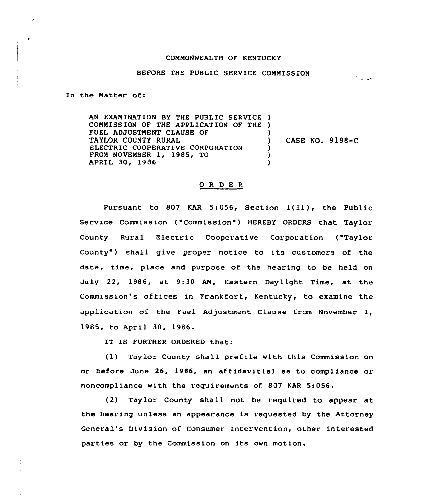## CONNONWEALTH OF KENTUCKY

## BEFORE THE PUBLIC SERVICE CONNISSION

In the Natter of:

AN EXANINATION BY THE PUBLIC SERVICE ) CONNISS ION OF THE APPLICATION OF THE ) FUEL ADJUSTMENT CLAUSE OF TAYLOR COUNTY RURAL ELECTRIC COOPERATIVE CORPORATION FRON NOVENBER 1, 1985, TO APRIL 30, 1986 ) ) CASE NO. 9198-C ) ) )

## 0 <sup>R</sup> <sup>D</sup> E <sup>R</sup>

Pursuant to 807 KAR 5:056, Section 1(11), the Public Service Commission ("Commission") HEREBY ORDERS that Taylor County Rural Electric Cooperative Corporation ("Taylor County") shall give proper notice to its customers of the date, time, place and purpose of the hearing to be held on July 22, 1986, at 9:30 AN, Eastern Daylight Time, at the Commission's offices in Frankfort, Kentucky, to examine the application of the Fuel Adjustment Clause from November 1, 1985, to April 30, 1986.

IT IS FURTHER ORDERED that:

(1) Taylor County shall prefile with this Commission on or before June  $26$ , 1986, an affidavit(s) as to compliance or noncompliance with the requirements of. 807 KAR 5s056.

(2) Taylor County shall not be required to appear at the hearing unless an appearance is requested by the Attorney General's Division of Consumer Intervention, other interested parties or by the Commission on its own motion.